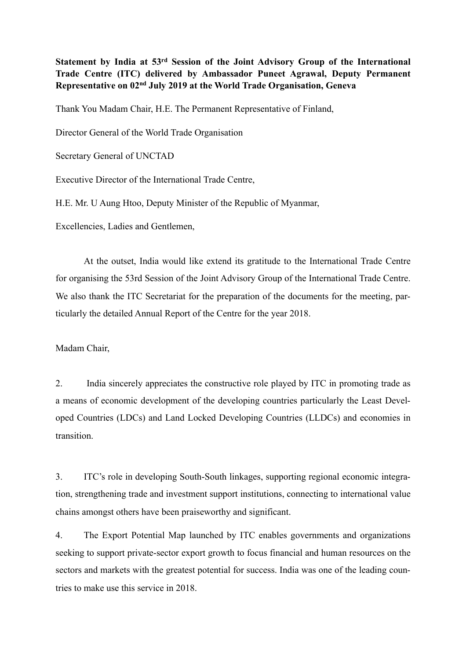**Statement by India at 53rd Session of the Joint Advisory Group of the International Trade Centre (ITC) delivered by Ambassador Puneet Agrawal, Deputy Permanent Representative on 02nd July 2019 at the World Trade Organisation, Geneva**

Thank You Madam Chair, H.E. The Permanent Representative of Finland,

Director General of the World Trade Organisation

Secretary General of UNCTAD

Executive Director of the International Trade Centre,

H.E. Mr. U Aung Htoo, Deputy Minister of the Republic of Myanmar,

Excellencies, Ladies and Gentlemen,

At the outset, India would like extend its gratitude to the International Trade Centre for organising the 53rd Session of the Joint Advisory Group of the International Trade Centre. We also thank the ITC Secretariat for the preparation of the documents for the meeting, particularly the detailed Annual Report of the Centre for the year 2018.

Madam Chair,

2. India sincerely appreciates the constructive role played by ITC in promoting trade as a means of economic development of the developing countries particularly the Least Developed Countries (LDCs) and Land Locked Developing Countries (LLDCs) and economies in transition.

3. ITC's role in developing South-South linkages, supporting regional economic integration, strengthening trade and investment support institutions, connecting to international value chains amongst others have been praiseworthy and significant.

4. The Export Potential Map launched by ITC enables governments and organizations seeking to support private-sector export growth to focus financial and human resources on the sectors and markets with the greatest potential for success. India was one of the leading countries to make use this service in 2018.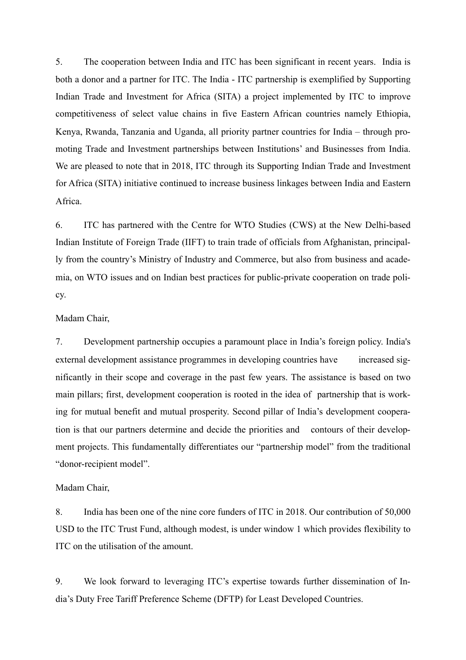5. The cooperation between India and ITC has been significant in recent years. India is both a donor and a partner for ITC. The India - ITC partnership is exemplified by Supporting Indian Trade and Investment for Africa (SITA) a project implemented by ITC to improve competitiveness of select value chains in five Eastern African countries namely Ethiopia, Kenya, Rwanda, Tanzania and Uganda, all priority partner countries for India – through promoting Trade and Investment partnerships between Institutions' and Businesses from India. We are pleased to note that in 2018, ITC through its Supporting Indian Trade and Investment for Africa (SITA) initiative continued to increase business linkages between India and Eastern Africa.

6. ITC has partnered with the Centre for WTO Studies (CWS) at the New Delhi-based Indian Institute of Foreign Trade (IIFT) to train trade of officials from Afghanistan, principally from the country's Ministry of Industry and Commerce, but also from business and academia, on WTO issues and on Indian best practices for public-private cooperation on trade policy.

## Madam Chair,

7. Development partnership occupies a paramount place in India's foreign policy. India's external development assistance programmes in developing countries have increased significantly in their scope and coverage in the past few years. The assistance is based on two main pillars; first, development cooperation is rooted in the idea of partnership that is working for mutual benefit and mutual prosperity. Second pillar of India's development cooperation is that our partners determine and decide the priorities and contours of their development projects. This fundamentally differentiates our "partnership model" from the traditional "donor-recipient model".

## Madam Chair,

8. India has been one of the nine core funders of ITC in 2018. Our contribution of 50,000 USD to the ITC Trust Fund, although modest, is under window 1 which provides flexibility to ITC on the utilisation of the amount.

9. We look forward to leveraging ITC's expertise towards further dissemination of India's Duty Free Tariff Preference Scheme (DFTP) for Least Developed Countries.